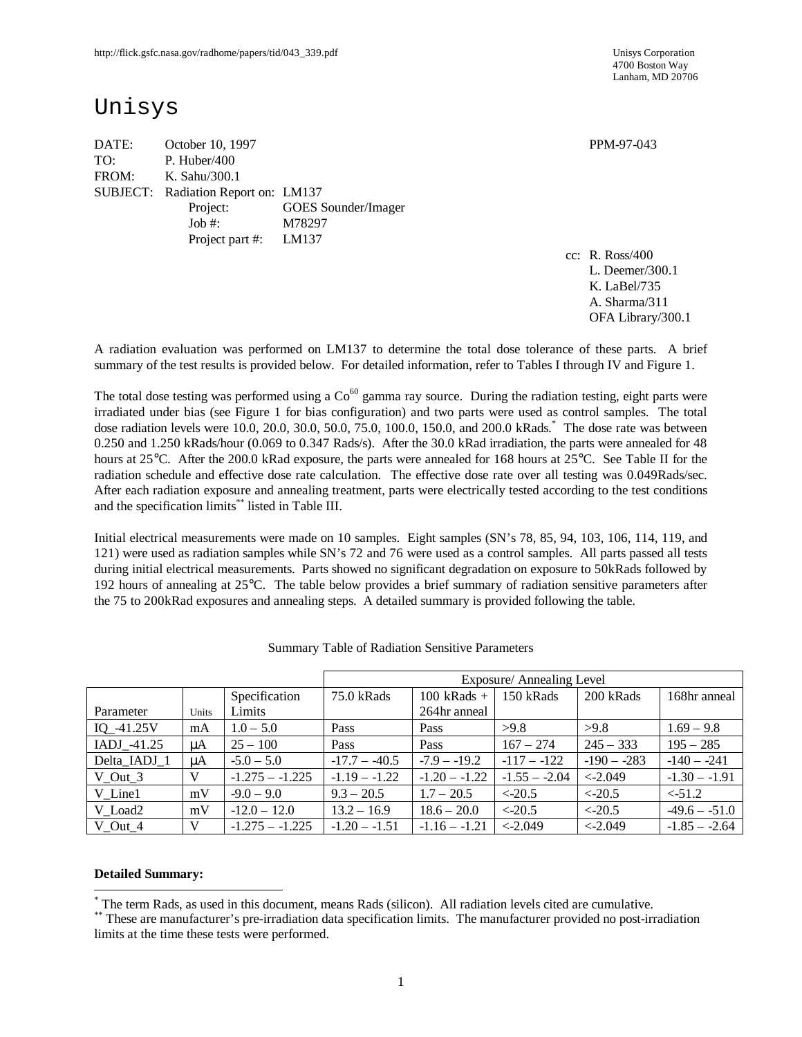4700 Boston Way Lanham, MD 20706

# Unisys

DATE: October 10, 1997 PPM-97-043 TO: P. Huber/400 FROM: K. Sahu/300.1 SUBJECT: Radiation Report on: LM137 Project: GOES Sounder/Imager Job #: M78297 Project part #: LM137

cc: R. Ross/400 L. Deemer/300.1 K. LaBel/735 A. Sharma/311 OFA Library/300.1

A radiation evaluation was performed on LM137 to determine the total dose tolerance of these parts. A brief summary of the test results is provided below. For detailed information, refer to Tables I through IV and Figure 1.

The total dose testing was performed using a  $Co<sup>60</sup>$  gamma ray source. During the radiation testing, eight parts were irradiated under bias (see Figure 1 for bias configuration) and two parts were used as control samples. The total dose radiation levels were 10.0, 20.0, 30.0, 50.0, 75.0, 100.0, 150.0, and 200.0 kRads. \* The dose rate was between 0.250 and 1.250 kRads/hour (0.069 to 0.347 Rads/s). After the 30.0 kRad irradiation, the parts were annealed for 48 hours at 25<sup>o</sup>C. After the 200.0 kRad exposure, the parts were annealed for 168 hours at 25<sup>o</sup>C. See Table II for the radiation schedule and effective dose rate calculation. The effective dose rate over all testing was 0.049Rads/sec. After each radiation exposure and annealing treatment, parts were electrically tested according to the test conditions and the specification limits\*\* listed in Table III.

Initial electrical measurements were made on 10 samples. Eight samples (SN's 78, 85, 94, 103, 106, 114, 119, and 121) were used as radiation samples while SN's 72 and 76 were used as a control samples. All parts passed all tests during initial electrical measurements. Parts showed no significant degradation on exposure to 50kRads followed by 192 hours of annealing at 25°C. The table below provides a brief summary of radiation sensitive parameters after the 75 to 200kRad exposures and annealing steps. A detailed summary is provided following the table.

|              |       |                   | Exposure/Annealing Level |                 |                 |                         |                 |  |  |  |
|--------------|-------|-------------------|--------------------------|-----------------|-----------------|-------------------------|-----------------|--|--|--|
|              |       | Specification     | 75.0 kRads               | $100$ kRads +   | 150 kRads       | 200 kRads               | 168hr anneal    |  |  |  |
| Parameter    | Units | Limits            |                          | 264hr anneal    |                 |                         |                 |  |  |  |
| IQ $-41.25V$ | mA    | $1.0 - 5.0$       | Pass                     | Pass            | >9.8            | >9.8                    | $1.69 - 9.8$    |  |  |  |
| IADJ -41.25  | μA    | $25 - 100$        | Pass                     | Pass            | $167 - 274$     | $245 - 333$             | $195 - 285$     |  |  |  |
| Delta IADJ 1 | uA    | $-5.0 - 5.0$      | $-17.7 - -40.5$          | $-7.9 - -19.2$  | $-117 - -122$   | $-190 - -283$           | $-140 - -241$   |  |  |  |
| V Out 3      | V     | $-1.275 - -1.225$ | $-1.19 - -1.22$          | $-1.20 - -1.22$ | $-1.55 - -2.04$ | $< -2.049$              | $-1.30 - -1.91$ |  |  |  |
| V Line1      | mV    | $-9.0 - 9.0$      | $9.3 - 20.5$             | $1.7 - 20.5$    | $\leq$ -20.5    | $\langle -20.5 \rangle$ | $\leq -51.2$    |  |  |  |
| V Load2      | mV    | $-12.0 - 12.0$    | $13.2 - 16.9$            | $18.6 - 20.0$   | $\leq$ -20.5    | $\leq$ -20.5            | $-49.6 - -51.0$ |  |  |  |
| V Out 4      | V     | $-1.275 - -1.225$ | $-1.20 - -1.51$          | $-1.16 - -1.21$ | $< -2.049$      | $<-2.049$               | $-1.85 - -2.64$ |  |  |  |

Summary Table of Radiation Sensitive Parameters

#### **Detailed Summary:**

 $\overline{\phantom{a}}$ \* The term Rads, as used in this document, means Rads (silicon). All radiation levels cited are cumulative.

<sup>\*\*</sup> These are manufacturer's pre-irradiation data specification limits. The manufacturer provided no post-irradiation limits at the time these tests were performed.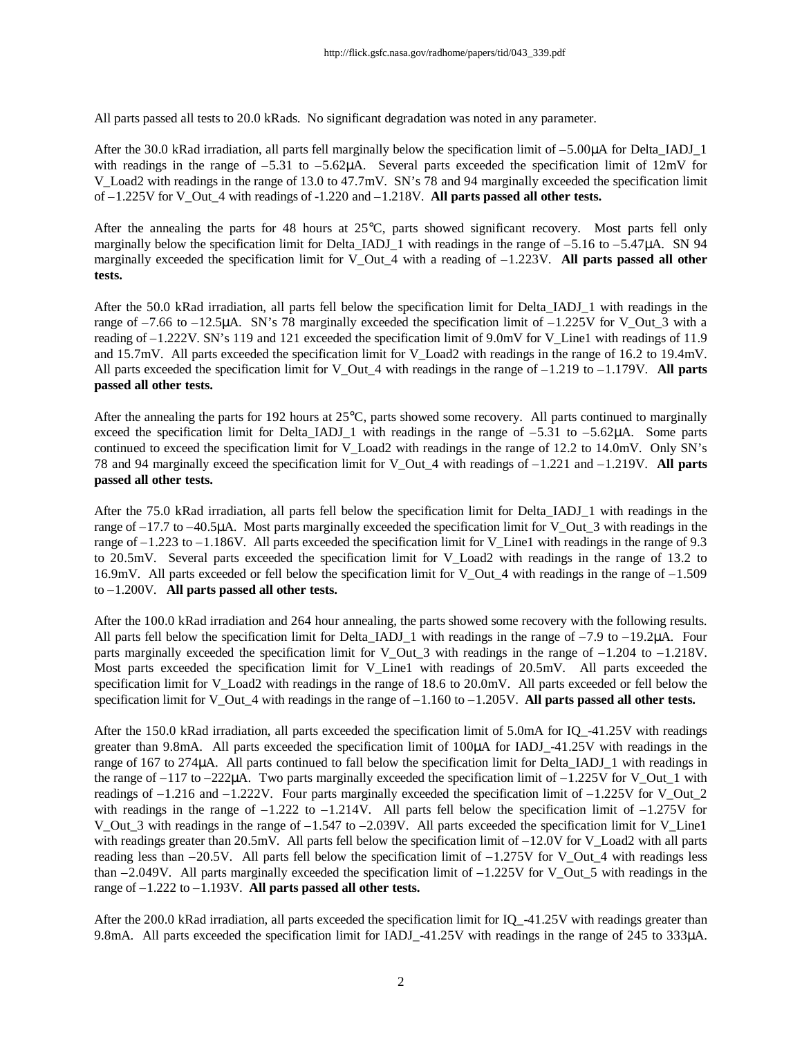All parts passed all tests to 20.0 kRads. No significant degradation was noted in any parameter.

After the 30.0 kRad irradiation, all parts fell marginally below the specification limit of –5.00μA for Delta\_IADJ\_1 with readings in the range of  $-5.31$  to  $-5.62\mu$ A. Several parts exceeded the specification limit of  $12\text{mV}$  for V\_Load2 with readings in the range of 13.0 to 47.7mV. SN's 78 and 94 marginally exceeded the specification limit of –1.225V for V\_Out\_4 with readings of -1.220 and –1.218V. **All parts passed all other tests.**

After the annealing the parts for 48 hours at 25°C, parts showed significant recovery. Most parts fell only marginally below the specification limit for Delta\_IADJ\_1 with readings in the range of  $-5.16$  to  $-5.47\mu$ A. SN 94 marginally exceeded the specification limit for V\_Out\_4 with a reading of –1.223V. **All parts passed all other tests.**

After the 50.0 kRad irradiation, all parts fell below the specification limit for Delta\_IADJ\_1 with readings in the range of  $-7.66$  to  $-12.5\mu$ A. SN's 78 marginally exceeded the specification limit of  $-1.225V$  for V\_Out\_3 with a reading of –1.222V. SN's 119 and 121 exceeded the specification limit of 9.0mV for V\_Line1 with readings of 11.9 and 15.7mV. All parts exceeded the specification limit for V\_Load2 with readings in the range of 16.2 to 19.4mV. All parts exceeded the specification limit for V Out 4 with readings in the range of  $-1.219$  to  $-1.179V$ . **All parts passed all other tests.**

After the annealing the parts for 192 hours at 25°C, parts showed some recovery. All parts continued to marginally exceed the specification limit for Delta\_IADJ\_1 with readings in the range of  $-5.31$  to  $-5.62\mu$ A. Some parts continued to exceed the specification limit for V\_Load2 with readings in the range of 12.2 to 14.0mV. Only SN's 78 and 94 marginally exceed the specification limit for V\_Out\_4 with readings of –1.221 and –1.219V. **All parts passed all other tests.**

After the 75.0 kRad irradiation, all parts fell below the specification limit for Delta\_IADJ\_1 with readings in the range of  $-17.7$  to  $-40.5\mu$ A. Most parts marginally exceeded the specification limit for V Out 3 with readings in the range of  $-1.223$  to  $-1.186V$ . All parts exceeded the specification limit for V Line1 with readings in the range of 9.3 to 20.5mV. Several parts exceeded the specification limit for V\_Load2 with readings in the range of 13.2 to 16.9mV. All parts exceeded or fell below the specification limit for V\_Out\_4 with readings in the range of –1.509 to –1.200V. **All parts passed all other tests.**

After the 100.0 kRad irradiation and 264 hour annealing, the parts showed some recovery with the following results. All parts fell below the specification limit for Delta IADJ\_1 with readings in the range of  $-7.9$  to  $-19.2\mu$ A. Four parts marginally exceeded the specification limit for V Out  $3$  with readings in the range of –1.204 to –1.218V. Most parts exceeded the specification limit for V\_Line1 with readings of 20.5mV. All parts exceeded the specification limit for V\_Load2 with readings in the range of 18.6 to 20.0mV. All parts exceeded or fell below the specification limit for V\_Out  $4$  with readings in the range of  $-1.160$  to  $-1.205V$ . **All parts passed all other tests.** 

After the 150.0 kRad irradiation, all parts exceeded the specification limit of 5.0mA for IQ\_-41.25V with readings greater than 9.8mA. All parts exceeded the specification limit of 100μA for IADJ\_-41.25V with readings in the range of 167 to 274μA. All parts continued to fall below the specification limit for Delta\_IADJ\_1 with readings in the range of  $-117$  to  $-222\mu$ A. Two parts marginally exceeded the specification limit of  $-1.225V$  for V\_Out\_1 with readings of  $-1.216$  and  $-1.222V$ . Four parts marginally exceeded the specification limit of  $-1.225V$  for V\_Out 2 with readings in the range of  $-1.222$  to  $-1.214V$ . All parts fell below the specification limit of  $-1.275V$  for V\_Out\_3 with readings in the range of –1.547 to –2.039V. All parts exceeded the specification limit for V\_Line1 with readings greater than 20.5mV. All parts fell below the specification limit of  $-12.0V$  for V\_Load2 with all parts reading less than –20.5V. All parts fell below the specification limit of –1.275V for V\_Out\_4 with readings less than  $-2.049V$ . All parts marginally exceeded the specification limit of  $-1.225V$  for V\_Out\_5 with readings in the range of –1.222 to –1.193V. **All parts passed all other tests.**

After the 200.0 kRad irradiation, all parts exceeded the specification limit for IQ\_-41.25V with readings greater than 9.8mA. All parts exceeded the specification limit for IADJ\_-41.25V with readings in the range of 245 to 333μA.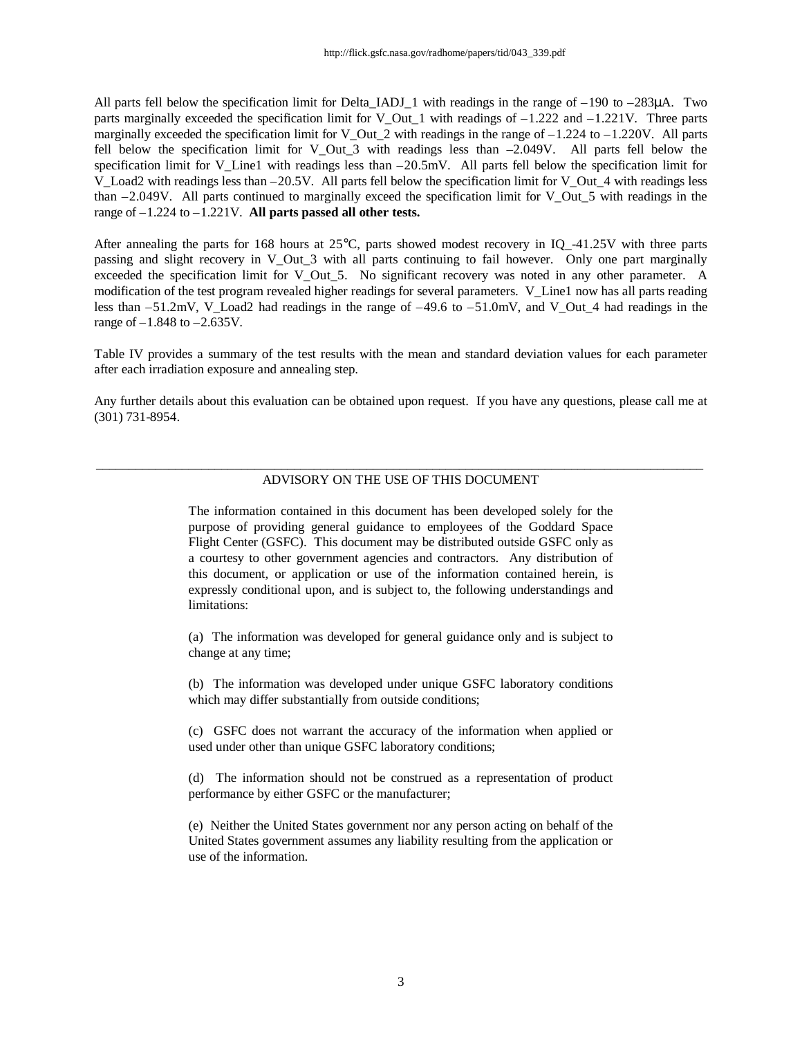All parts fell below the specification limit for Delta IADJ\_1 with readings in the range of  $-190$  to  $-283\mu$ A. Two parts marginally exceeded the specification limit for V Out 1 with readings of  $-1.222$  and  $-1.221$ V. Three parts marginally exceeded the specification limit for V\_Out\_2 with readings in the range of  $-1.224$  to  $-1.220V$ . All parts fell below the specification limit for V\_Out\_3 with readings less than –2.049V. All parts fell below the specification limit for V\_Line1 with readings less than  $-20.5$ mV. All parts fell below the specification limit for V\_Load2 with readings less than  $-20.5V$ . All parts fell below the specification limit for V\_Out\_4 with readings less than  $-2.049V$ . All parts continued to marginally exceed the specification limit for V Out 5 with readings in the range of –1.224 to –1.221V. **All parts passed all other tests.**

After annealing the parts for 168 hours at 25°C, parts showed modest recovery in IQ\_-41.25V with three parts passing and slight recovery in V\_Out\_3 with all parts continuing to fail however. Only one part marginally exceeded the specification limit for V Out 5. No significant recovery was noted in any other parameter. A modification of the test program revealed higher readings for several parameters. V\_Line1 now has all parts reading less than  $-51.2$ mV, V\_Load2 had readings in the range of  $-49.6$  to  $-51.0$ mV, and V\_Out\_4 had readings in the range of  $-1.848$  to  $-2.635V$ .

Table IV provides a summary of the test results with the mean and standard deviation values for each parameter after each irradiation exposure and annealing step.

Any further details about this evaluation can be obtained upon request. If you have any questions, please call me at (301) 731-8954.

#### $\_$  ,  $\_$  ,  $\_$  ,  $\_$  ,  $\_$  ,  $\_$  ,  $\_$  ,  $\_$  ,  $\_$  ,  $\_$  ,  $\_$  ,  $\_$  ,  $\_$  ,  $\_$  ,  $\_$  ,  $\_$  ,  $\_$  ,  $\_$  ,  $\_$  ,  $\_$  ,  $\_$  ,  $\_$  ,  $\_$  ,  $\_$  ,  $\_$  ,  $\_$  ,  $\_$  ,  $\_$  ,  $\_$  ,  $\_$  ,  $\_$  ,  $\_$  ,  $\_$  ,  $\_$  ,  $\_$  ,  $\_$  ,  $\_$  , ADVISORY ON THE USE OF THIS DOCUMENT

The information contained in this document has been developed solely for the purpose of providing general guidance to employees of the Goddard Space Flight Center (GSFC). This document may be distributed outside GSFC only as a courtesy to other government agencies and contractors. Any distribution of this document, or application or use of the information contained herein, is expressly conditional upon, and is subject to, the following understandings and limitations:

(a) The information was developed for general guidance only and is subject to change at any time;

(b) The information was developed under unique GSFC laboratory conditions which may differ substantially from outside conditions;

(c) GSFC does not warrant the accuracy of the information when applied or used under other than unique GSFC laboratory conditions;

(d) The information should not be construed as a representation of product performance by either GSFC or the manufacturer;

(e) Neither the United States government nor any person acting on behalf of the United States government assumes any liability resulting from the application or use of the information.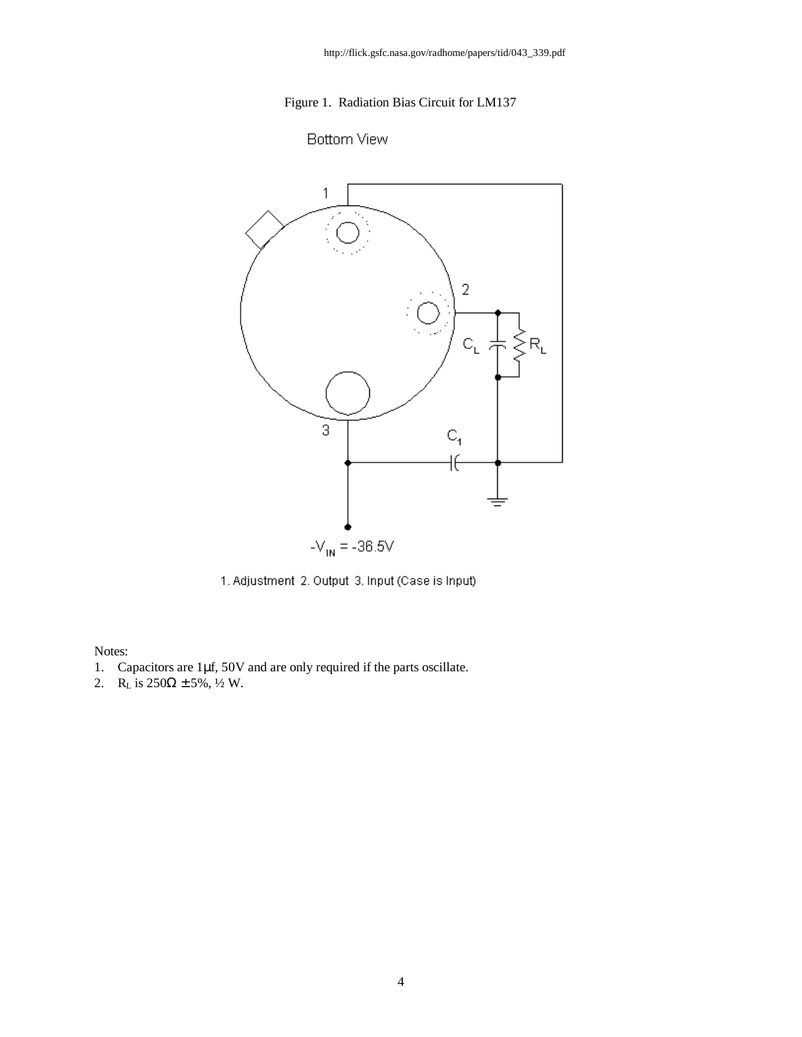## Figure 1. Radiation Bias Circuit for LM137

# **Bottom View**



1. Adjustment 2. Output 3. Input (Case is Input)

Notes:

- 1. Capacitors are 1μf, 50V and are only required if the parts oscillate.
- 2. R<sub>L</sub> is  $250\Omega \pm 5\%, \frac{1}{2}$  W.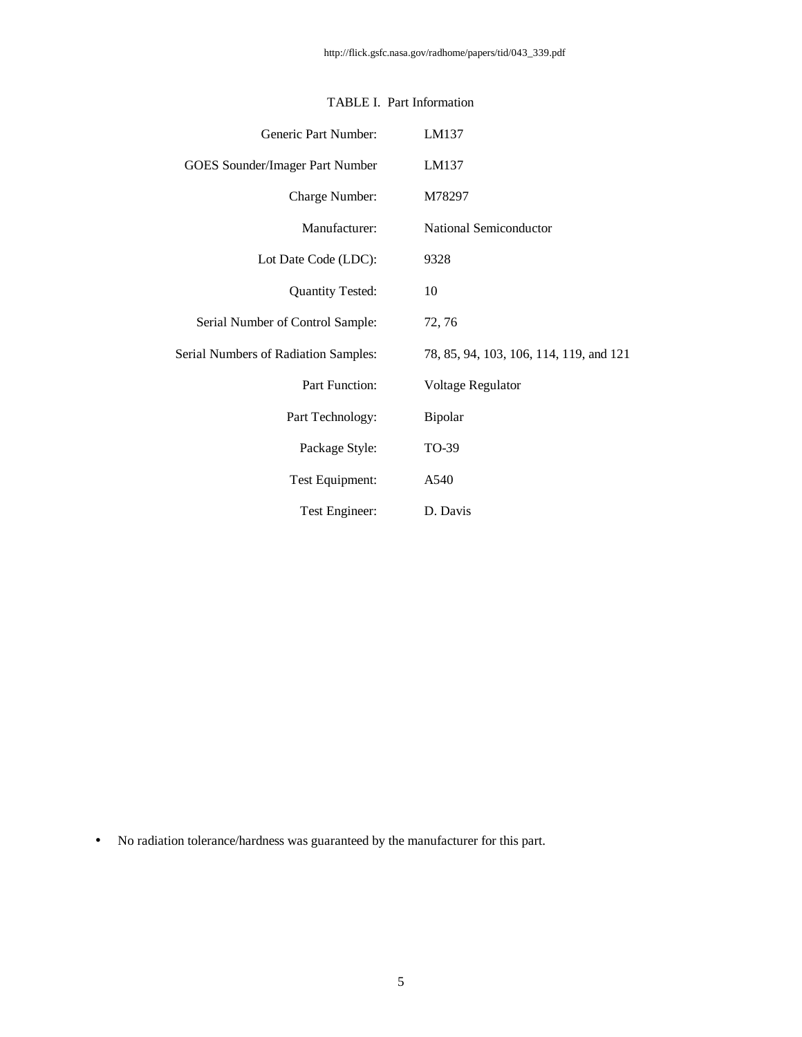| Generic Part Number:                 | LM137                                   |
|--------------------------------------|-----------------------------------------|
| GOES Sounder/Imager Part Number      | LM137                                   |
| Charge Number:                       | M78297                                  |
| Manufacturer:                        | National Semiconductor                  |
| Lot Date Code (LDC):                 | 9328                                    |
| <b>Quantity Tested:</b>              | 10                                      |
| Serial Number of Control Sample:     | 72, 76                                  |
| Serial Numbers of Radiation Samples: | 78, 85, 94, 103, 106, 114, 119, and 121 |
| Part Function:                       | Voltage Regulator                       |
| Part Technology:                     | Bipolar                                 |
| Package Style:                       | TO-39                                   |
| Test Equipment:                      | A540                                    |
| Test Engineer:                       | D. Davis                                |

### TABLE I. Part Information

• No radiation tolerance/hardness was guaranteed by the manufacturer for this part.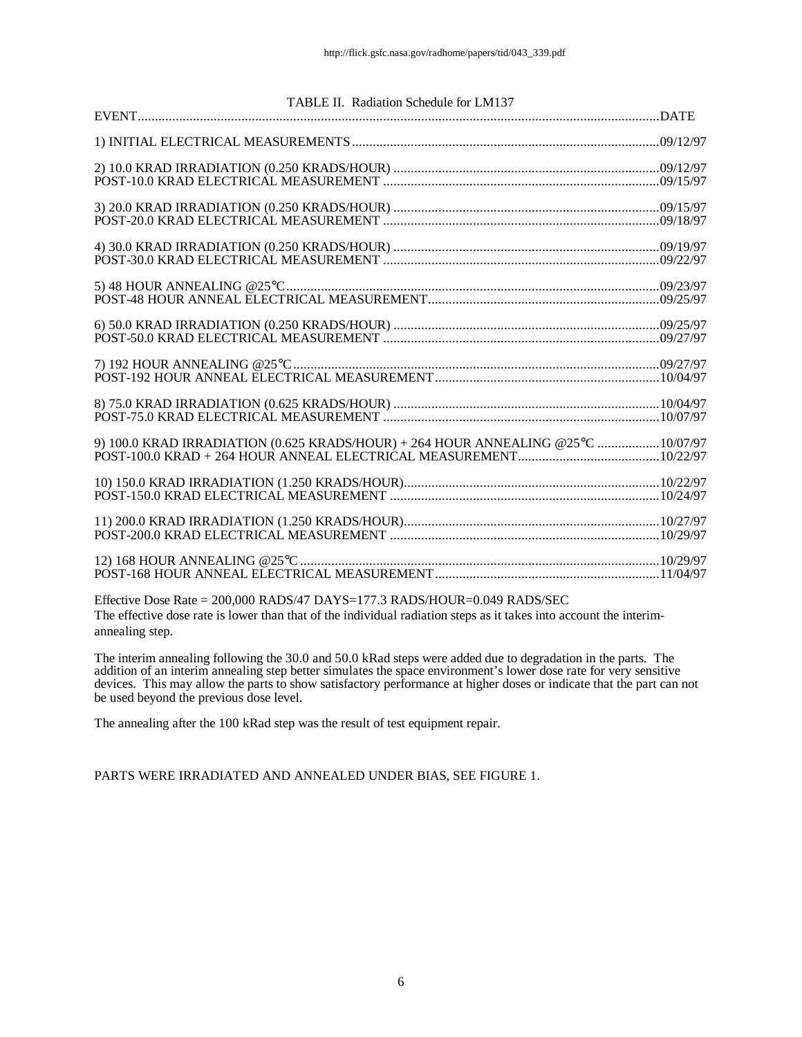| TABLE II. Radiation Schedule for LM137                                           |  |
|----------------------------------------------------------------------------------|--|
|                                                                                  |  |
|                                                                                  |  |
|                                                                                  |  |
|                                                                                  |  |
|                                                                                  |  |
|                                                                                  |  |
|                                                                                  |  |
|                                                                                  |  |
|                                                                                  |  |
|                                                                                  |  |
|                                                                                  |  |
|                                                                                  |  |
|                                                                                  |  |
|                                                                                  |  |
|                                                                                  |  |
|                                                                                  |  |
| 9) 100.0 KRAD IRRADIATION (0.625 KRADS/HOUR) + 264 HOUR ANNEALING @25°C 10/07/97 |  |
|                                                                                  |  |
|                                                                                  |  |
|                                                                                  |  |
|                                                                                  |  |
|                                                                                  |  |
|                                                                                  |  |
|                                                                                  |  |
|                                                                                  |  |

Effective Dose Rate = 200,000 RADS/47 DAYS=177.3 RADS/HOUR=0.049 RADS/SEC The effective dose rate is lower than that of the individual radiation steps as it takes into account the interimannealing step.

The interim annealing following the 30.0 and 50.0 kRad steps were added due to degradation in the parts. The addition of an interim annealing step better simulates the space environment's lower dose rate for very sensitive devices. This may allow the parts to show satisfactory performance at higher doses or indicate that the part can not be used beyond the previous dose level.

The annealing after the 100 kRad step was the result of test equipment repair.

PARTS WERE IRRADIATED AND ANNEALED UNDER BIAS, SEE FIGURE 1.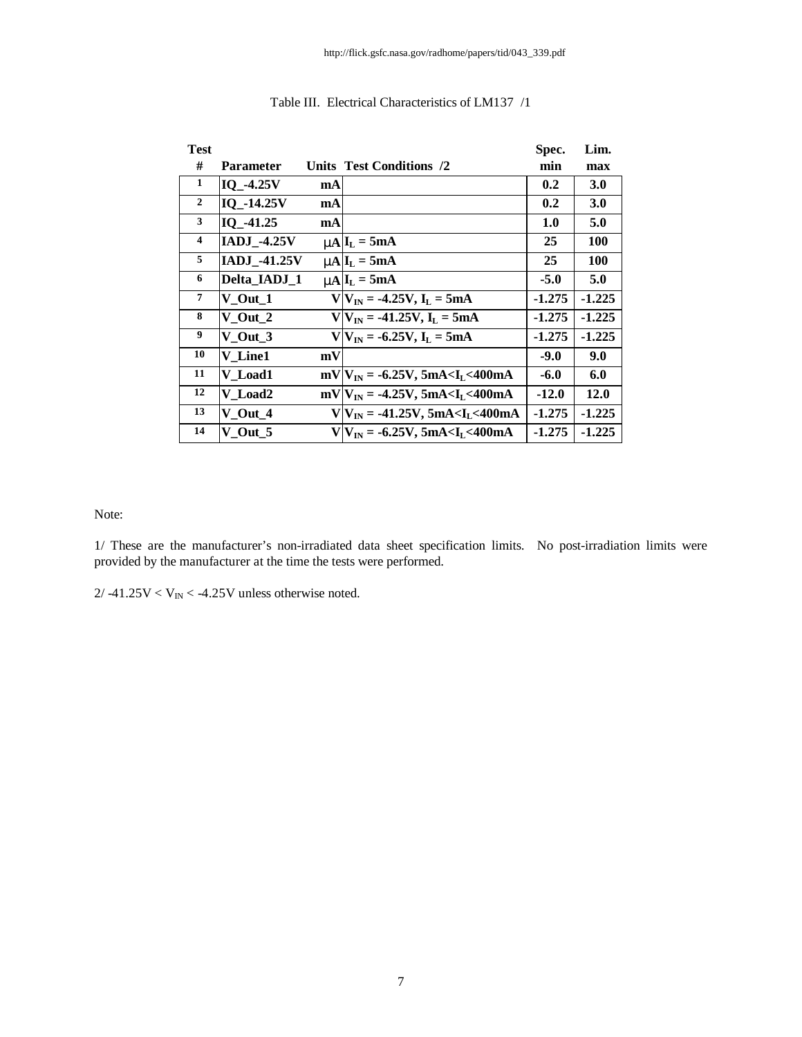| <b>Test</b>             |                     |    |                                                       | Spec.    | Lim.       |
|-------------------------|---------------------|----|-------------------------------------------------------|----------|------------|
| #                       | <b>Parameter</b>    |    | Units Test Conditions /2                              | min      | max        |
| 1                       | IQ -4.25V           | mA |                                                       | 0.2      | 3.0        |
| $\overline{2}$          | IQ_-14.25V          | mA |                                                       | 0.2      | <b>3.0</b> |
| $\mathbf{3}$            | IQ -41.25           | mA |                                                       | 1.0      | 5.0        |
| $\overline{\mathbf{4}}$ | <b>IADJ_-4.25V</b>  |    | $mA I_L = 5mA$                                        | 25       | <b>100</b> |
| 5                       | <b>IADJ_-41.25V</b> |    | $mAlL = 5mA$                                          | 25       | <b>100</b> |
| 6                       | Delta_IADJ_1        |    | $mAlL = 5mA$                                          | $-5.0$   | 5.0        |
| 7                       | $V_$ Out $_1$       |    | $V V_{IN} = -4.25V, I_L = 5mA$                        | $-1.275$ | $-1.225$   |
| 8                       | V Out 2             |    | $V V_{IN} = -41.25V, IL = 5mA$                        | $-1.275$ | $-1.225$   |
| 9                       | V Out 3             |    | $V V_{IN} = -6.25V, I_L = 5mA$                        | $-1.275$ | $-1.225$   |
| 10                      | V Line1             | mV |                                                       | $-9.0$   | 9.0        |
| 11                      | V Load1             |    | $mV/V_{IN} = -6.25V$ , 5mA <i<sub>I &lt;400mA</i<sub> | $-6.0$   | 6.0        |
| 12                      | V Load2             |    | $mV/V_{IN} = -4.25V, 5mA < I_L < 400mA$               | $-12.0$  | 12.0       |
| 13                      | $V$ Out $4$         |    | $V V_{IN} = -41.25V, 5mA < I_L < 400mA$               | $-1.275$ | $-1.225$   |
| 14                      | $V_$ Out_5          |    | $V V_{IN} = -6.25V, 5mA < I_L < 400mA$                | $-1.275$ | $-1.225$   |

### Table III. Electrical Characteristics of LM137 /1

Note:

1/ These are the manufacturer's non-irradiated data sheet specification limits. No post-irradiation limits were provided by the manufacturer at the time the tests were performed.

 $2/ -41.25V < V_{IN} < -4.25V$  unless otherwise noted.